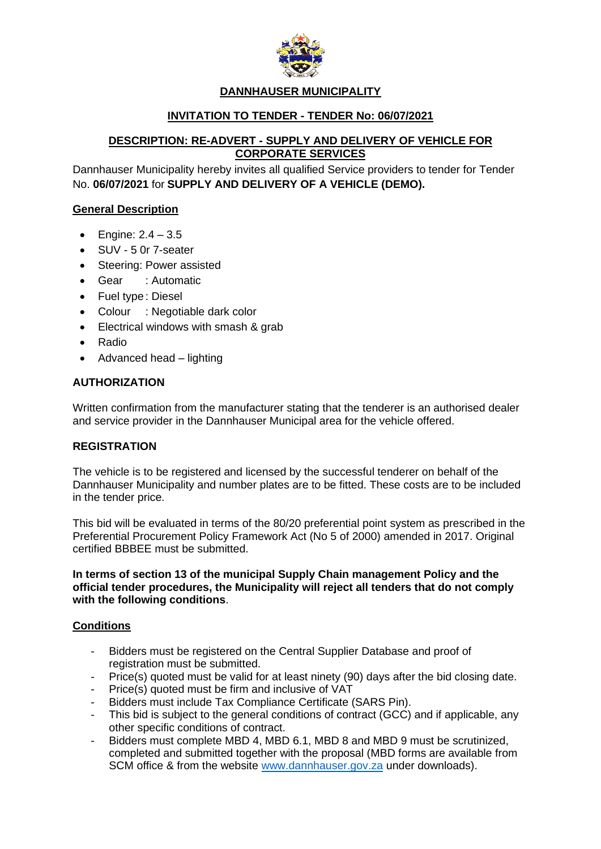

## **DANNHAUSER MUNICIPALITY**

# **INVITATION TO TENDER - TENDER No: 06/07/2021**

## **DESCRIPTION: RE-ADVERT - SUPPLY AND DELIVERY OF VEHICLE FOR CORPORATE SERVICES**

Dannhauser Municipality hereby invites all qualified Service providers to tender for Tender No. **06/07/2021** for **SUPPLY AND DELIVERY OF A VEHICLE (DEMO).**

### **General Description**

- Engine:  $2.4 3.5$
- SUV 5 0r 7-seater
- Steering: Power assisted
- Gear : Automatic
- Fuel type: Diesel
- Colour : Negotiable dark color
- Electrical windows with smash & grab
- Radio
- Advanced head lighting

## **AUTHORIZATION**

Written confirmation from the manufacturer stating that the tenderer is an authorised dealer and service provider in the Dannhauser Municipal area for the vehicle offered.

### **REGISTRATION**

The vehicle is to be registered and licensed by the successful tenderer on behalf of the Dannhauser Municipality and number plates are to be fitted. These costs are to be included in the tender price.

This bid will be evaluated in terms of the 80/20 preferential point system as prescribed in the Preferential Procurement Policy Framework Act (No 5 of 2000) amended in 2017. Original certified BBBEE must be submitted.

#### **In terms of section 13 of the municipal Supply Chain management Policy and the official tender procedures, the Municipality will reject all tenders that do not comply with the following conditions**.

### **Conditions**

- Bidders must be registered on the Central Supplier Database and proof of registration must be submitted.
- Price(s) quoted must be valid for at least ninety (90) days after the bid closing date.
- Price(s) quoted must be firm and inclusive of VAT
- Bidders must include Tax Compliance Certificate (SARS Pin).
- This bid is subject to the general conditions of contract (GCC) and if applicable, any other specific conditions of contract.
- Bidders must complete MBD 4, MBD 6.1, MBD 8 and MBD 9 must be scrutinized, completed and submitted together with the proposal (MBD forms are available from SCM office & from the website [www.dannhauser.gov.za](http://www.dannhauser.gov.za/) under downloads).